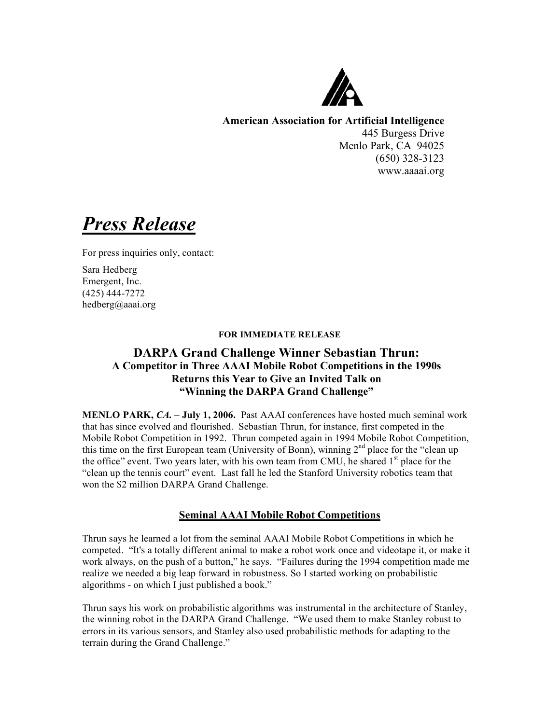

**American Association for Artificial Intelligence** 445 Burgess Drive Menlo Park, CA 94025 (650) 328-3123 www.aaaai.org

*Press Release*

For press inquiries only, contact:

Sara Hedberg Emergent, Inc. (425) 444-7272 hedberg@aaai.org

### **FOR IMMEDIATE RELEASE**

# **DARPA Grand Challenge Winner Sebastian Thrun: A Competitor in Three AAAI Mobile Robot Competitions in the 1990s Returns this Year to Give an Invited Talk on "Winning the DARPA Grand Challenge"**

**MENLO PARK,** *CA.* **– July 1, 2006.** Past AAAI conferences have hosted much seminal work that has since evolved and flourished. Sebastian Thrun, for instance, first competed in the Mobile Robot Competition in 1992. Thrun competed again in 1994 Mobile Robot Competition, this time on the first European team (University of Bonn), winning 2<sup>nd</sup> place for the "clean up the office" event. Two years later, with his own team from CMU, he shared 1<sup>st</sup> place for the "clean up the tennis court" event. Last fall he led the Stanford University robotics team that won the \$2 million DARPA Grand Challenge.

## **Seminal AAAI Mobile Robot Competitions**

Thrun says he learned a lot from the seminal AAAI Mobile Robot Competitions in which he competed. "It's a totally different animal to make a robot work once and videotape it, or make it work always, on the push of a button," he says. "Failures during the 1994 competition made me realize we needed a big leap forward in robustness. So I started working on probabilistic algorithms - on which I just published a book."

Thrun says his work on probabilistic algorithms was instrumental in the architecture of Stanley, the winning robot in the DARPA Grand Challenge. "We used them to make Stanley robust to errors in its various sensors, and Stanley also used probabilistic methods for adapting to the terrain during the Grand Challenge."